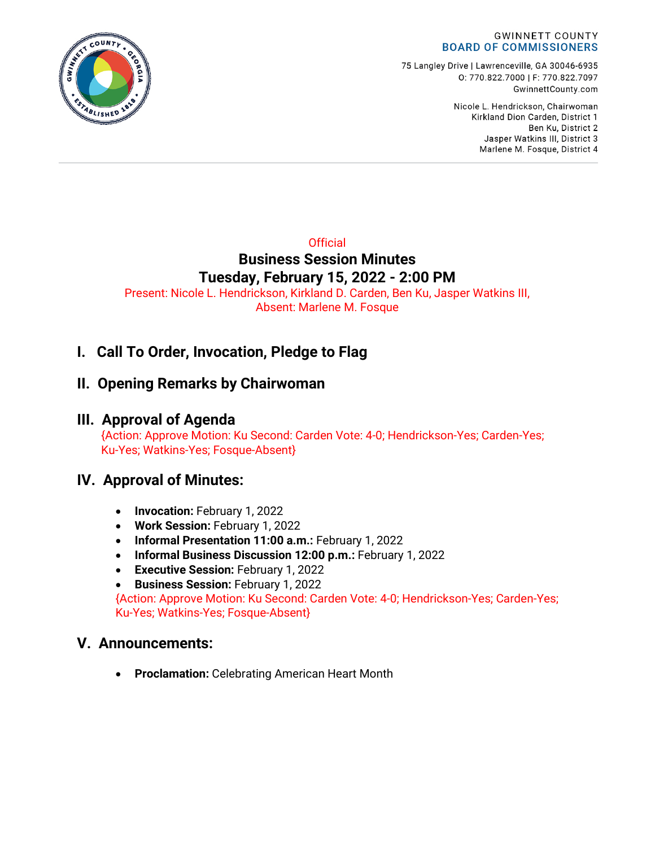

75 Langley Drive | Lawrenceville, GA 30046-6935 0:770.822.7000 | F: 770.822.7097 GwinnettCounty.com

> Nicole L. Hendrickson, Chairwoman Kirkland Dion Carden, District 1 Ben Ku. District 2 Jasper Watkins III, District 3 Marlene M. Fosque, District 4

### **Official Business Session Minutes Tuesday, February 15, 2022 - 2:00 PM**

Present: Nicole L. Hendrickson, Kirkland D. Carden, Ben Ku, Jasper Watkins III, Absent: Marlene M. Fosque

# **I. Call To Order, Invocation, Pledge to Flag**

# **II. Opening Remarks by Chairwoman**

## **III. Approval of Agenda**

{Action: Approve Motion: Ku Second: Carden Vote: 4-0; Hendrickson-Yes; Carden-Yes; Ku-Yes; Watkins-Yes; Fosque-Absent}

## **IV. Approval of Minutes:**

- **Invocation:** February 1, 2022
- **Work Session:** February 1, 2022
- **Informal Presentation 11:00 a.m.:** February 1, 2022
- **Informal Business Discussion 12:00 p.m.:** February 1, 2022
- **Executive Session:** February 1, 2022
- **Business Session:** February 1, 2022

{Action: Approve Motion: Ku Second: Carden Vote: 4-0; Hendrickson-Yes; Carden-Yes; Ku-Yes; Watkins-Yes; Fosque-Absent}

### **V. Announcements:**

• **Proclamation:** Celebrating American Heart Month

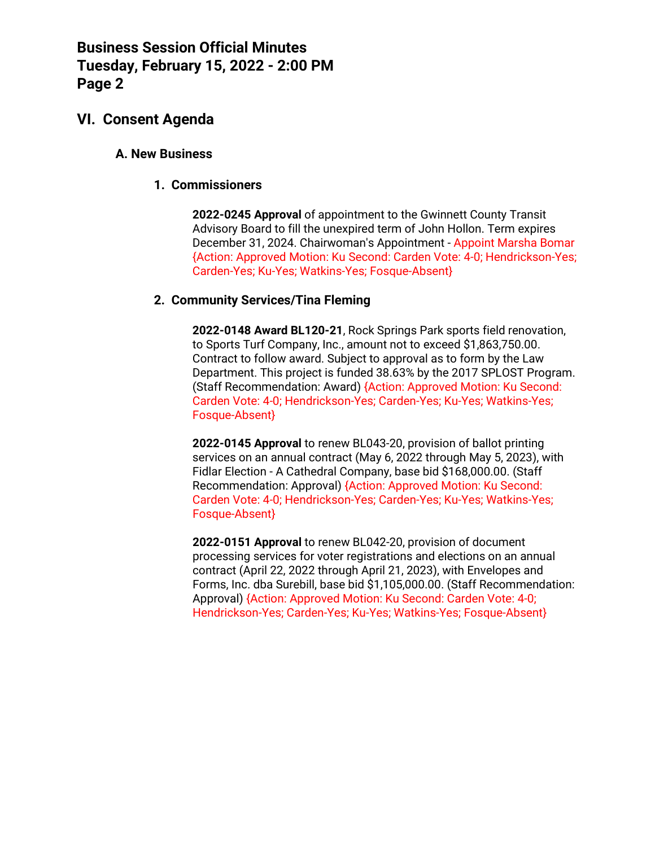### **VI. Consent Agenda**

#### **A. New Business**

#### **1. Commissioners**

**2022-0245 Approval** of appointment to the Gwinnett County Transit Advisory Board to fill the unexpired term of John Hollon. Term expires December 31, 2024. Chairwoman's Appointment - Appoint Marsha Bomar {Action: Approved Motion: Ku Second: Carden Vote: 4-0; Hendrickson-Yes; Carden-Yes; Ku-Yes; Watkins-Yes; Fosque-Absent}

#### **2. Community Services/Tina Fleming**

**2022-0148 Award BL120-21**, Rock Springs Park sports field renovation, to Sports Turf Company, Inc., amount not to exceed \$1,863,750.00. Contract to follow award. Subject to approval as to form by the Law Department. This project is funded 38.63% by the 2017 SPLOST Program. (Staff Recommendation: Award) {Action: Approved Motion: Ku Second: Carden Vote: 4-0; Hendrickson-Yes; Carden-Yes; Ku-Yes; Watkins-Yes; Fosque-Absent}

**2022-0145 Approval** to renew BL043-20, provision of ballot printing services on an annual contract (May 6, 2022 through May 5, 2023), with Fidlar Election - A Cathedral Company, base bid \$168,000.00. (Staff Recommendation: Approval) {Action: Approved Motion: Ku Second: Carden Vote: 4-0; Hendrickson-Yes; Carden-Yes; Ku-Yes; Watkins-Yes; Fosque-Absent}

**2022-0151 Approval** to renew BL042-20, provision of document processing services for voter registrations and elections on an annual contract (April 22, 2022 through April 21, 2023), with Envelopes and Forms, Inc. dba Surebill, base bid \$1,105,000.00. (Staff Recommendation: Approval) {Action: Approved Motion: Ku Second: Carden Vote: 4-0; Hendrickson-Yes; Carden-Yes; Ku-Yes; Watkins-Yes; Fosque-Absent}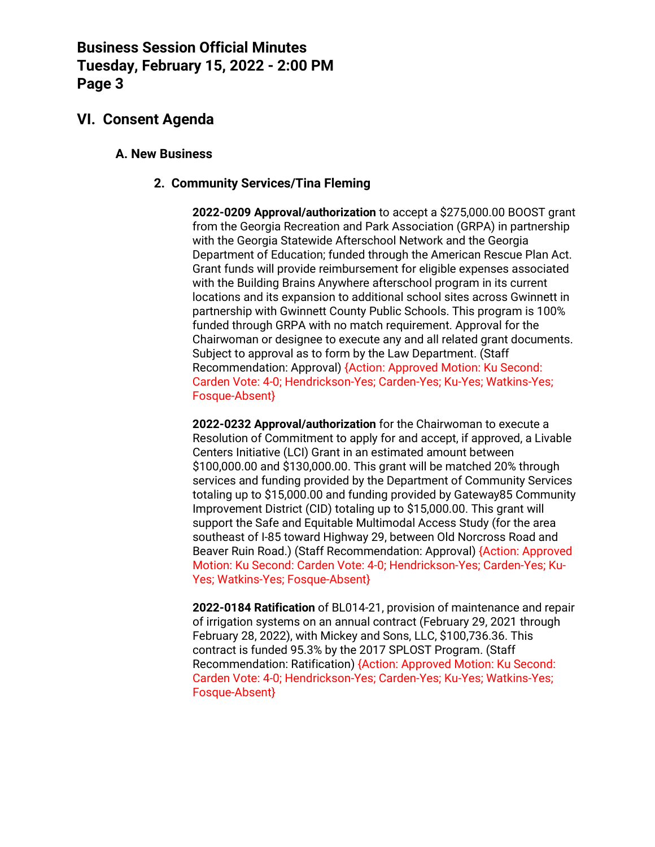### **VI. Consent Agenda**

#### **A. New Business**

#### **2. Community Services/Tina Fleming**

**2022-0209 Approval/authorization** to accept a \$275,000.00 BOOST grant from the Georgia Recreation and Park Association (GRPA) in partnership with the Georgia Statewide Afterschool Network and the Georgia Department of Education; funded through the American Rescue Plan Act. Grant funds will provide reimbursement for eligible expenses associated with the Building Brains Anywhere afterschool program in its current locations and its expansion to additional school sites across Gwinnett in partnership with Gwinnett County Public Schools. This program is 100% funded through GRPA with no match requirement. Approval for the Chairwoman or designee to execute any and all related grant documents. Subject to approval as to form by the Law Department. (Staff Recommendation: Approval) {Action: Approved Motion: Ku Second: Carden Vote: 4-0; Hendrickson-Yes; Carden-Yes; Ku-Yes; Watkins-Yes; Fosque-Absent}

**2022-0232 Approval/authorization** for the Chairwoman to execute a Resolution of Commitment to apply for and accept, if approved, a Livable Centers Initiative (LCI) Grant in an estimated amount between \$100,000.00 and \$130,000.00. This grant will be matched 20% through services and funding provided by the Department of Community Services totaling up to \$15,000.00 and funding provided by Gateway85 Community Improvement District (CID) totaling up to \$15,000.00. This grant will support the Safe and Equitable Multimodal Access Study (for the area southeast of I-85 toward Highway 29, between Old Norcross Road and Beaver Ruin Road.) (Staff Recommendation: Approval) {Action: Approved Motion: Ku Second: Carden Vote: 4-0; Hendrickson-Yes; Carden-Yes; Ku-Yes; Watkins-Yes; Fosque-Absent}

**2022-0184 Ratification** of BL014-21, provision of maintenance and repair of irrigation systems on an annual contract (February 29, 2021 through February 28, 2022), with Mickey and Sons, LLC, \$100,736.36. This contract is funded 95.3% by the 2017 SPLOST Program. (Staff Recommendation: Ratification) {Action: Approved Motion: Ku Second: Carden Vote: 4-0; Hendrickson-Yes; Carden-Yes; Ku-Yes; Watkins-Yes; Fosque-Absent}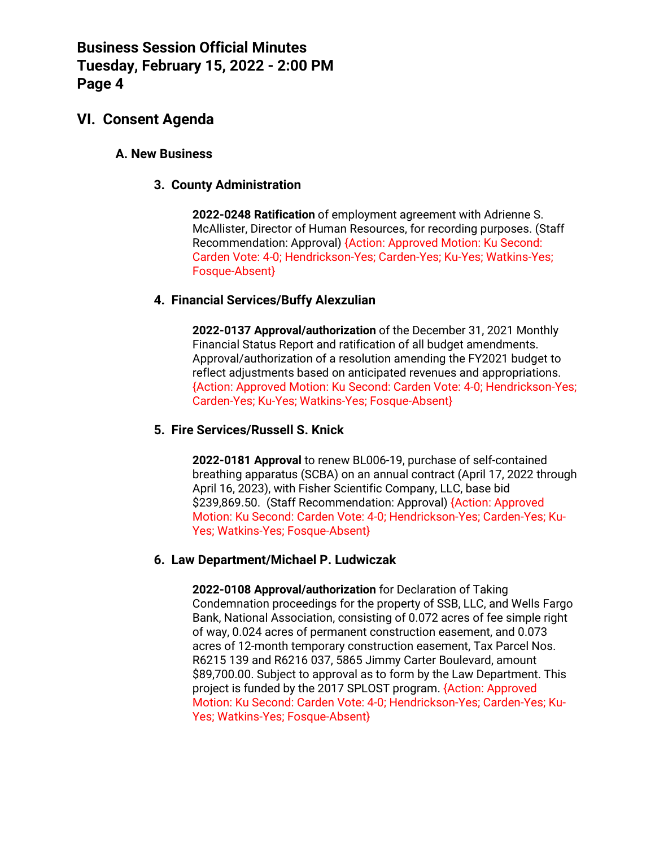### **VI. Consent Agenda**

#### **A. New Business**

#### **3. County Administration**

**2022-0248 Ratification** of employment agreement with Adrienne S. McAllister, Director of Human Resources, for recording purposes. (Staff Recommendation: Approval) {Action: Approved Motion: Ku Second: Carden Vote: 4-0; Hendrickson-Yes; Carden-Yes; Ku-Yes; Watkins-Yes; Fosque-Absent}

#### **4. Financial Services/Buffy Alexzulian**

**2022-0137 Approval/authorization** of the December 31, 2021 Monthly Financial Status Report and ratification of all budget amendments. Approval/authorization of a resolution amending the FY2021 budget to reflect adjustments based on anticipated revenues and appropriations. {Action: Approved Motion: Ku Second: Carden Vote: 4-0; Hendrickson-Yes; Carden-Yes; Ku-Yes; Watkins-Yes; Fosque-Absent}

#### **5. Fire Services/Russell S. Knick**

**2022-0181 Approval** to renew BL006-19, purchase of self-contained breathing apparatus (SCBA) on an annual contract (April 17, 2022 through April 16, 2023), with Fisher Scientific Company, LLC, base bid \$239,869.50. (Staff Recommendation: Approval) {Action: Approved Motion: Ku Second: Carden Vote: 4-0; Hendrickson-Yes; Carden-Yes; Ku-Yes: Watkins-Yes: Fosque-Absent}

#### **6. Law Department/Michael P. Ludwiczak**

**2022-0108 Approval/authorization** for Declaration of Taking Condemnation proceedings for the property of SSB, LLC, and Wells Fargo Bank, National Association, consisting of 0.072 acres of fee simple right of way, 0.024 acres of permanent construction easement, and 0.073 acres of 12-month temporary construction easement, Tax Parcel Nos. R6215 139 and R6216 037, 5865 Jimmy Carter Boulevard, amount \$89,700.00. Subject to approval as to form by the Law Department. This project is funded by the 2017 SPLOST program. {Action: Approved Motion: Ku Second: Carden Vote: 4-0; Hendrickson-Yes; Carden-Yes; Ku-Yes; Watkins-Yes; Fosque-Absent}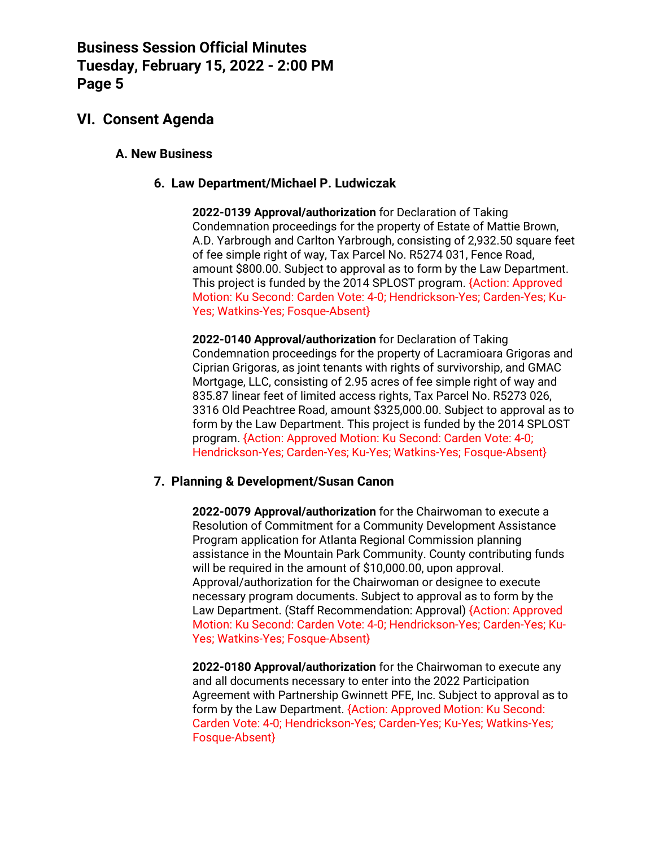### **VI. Consent Agenda**

#### **A. New Business**

#### **6. Law Department/Michael P. Ludwiczak**

**2022-0139 Approval/authorization** for Declaration of Taking Condemnation proceedings for the property of Estate of Mattie Brown, A.D. Yarbrough and Carlton Yarbrough, consisting of 2,932.50 square feet of fee simple right of way, Tax Parcel No. R5274 031, Fence Road, amount \$800.00. Subject to approval as to form by the Law Department. This project is funded by the 2014 SPLOST program. {Action: Approved Motion: Ku Second: Carden Vote: 4-0; Hendrickson-Yes; Carden-Yes; Ku-Yes; Watkins-Yes; Fosque-Absent}

**2022-0140 Approval/authorization** for Declaration of Taking Condemnation proceedings for the property of Lacramioara Grigoras and Ciprian Grigoras, as joint tenants with rights of survivorship, and GMAC Mortgage, LLC, consisting of 2.95 acres of fee simple right of way and 835.87 linear feet of limited access rights, Tax Parcel No. R5273 026, 3316 Old Peachtree Road, amount \$325,000.00. Subject to approval as to form by the Law Department. This project is funded by the 2014 SPLOST program. {Action: Approved Motion: Ku Second: Carden Vote: 4-0; Hendrickson-Yes; Carden-Yes; Ku-Yes; Watkins-Yes; Fosque-Absent}

#### **7. Planning & Development/Susan Canon**

**2022-0079 Approval/authorization** for the Chairwoman to execute a Resolution of Commitment for a Community Development Assistance Program application for Atlanta Regional Commission planning assistance in the Mountain Park Community. County contributing funds will be required in the amount of \$10,000.00, upon approval. Approval/authorization for the Chairwoman or designee to execute necessary program documents. Subject to approval as to form by the Law Department. (Staff Recommendation: Approval) {Action: Approved Motion: Ku Second: Carden Vote: 4-0; Hendrickson-Yes; Carden-Yes; Ku-Yes; Watkins-Yes; Fosque-Absent}

**2022-0180 Approval/authorization** for the Chairwoman to execute any and all documents necessary to enter into the 2022 Participation Agreement with Partnership Gwinnett PFE, Inc. Subject to approval as to form by the Law Department. {Action: Approved Motion: Ku Second: Carden Vote: 4-0; Hendrickson-Yes; Carden-Yes; Ku-Yes; Watkins-Yes; Fosque-Absent}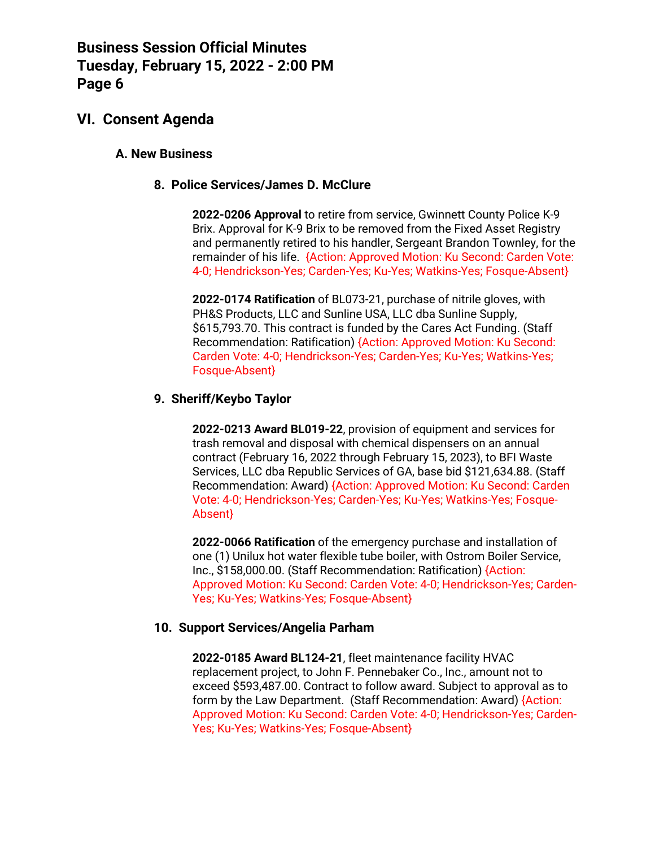### **VI. Consent Agenda**

#### **A. New Business**

#### **8. Police Services/James D. McClure**

**2022-0206 Approval** to retire from service, Gwinnett County Police K-9 Brix. Approval for K-9 Brix to be removed from the Fixed Asset Registry and permanently retired to his handler, Sergeant Brandon Townley, for the remainder of his life. {Action: Approved Motion: Ku Second: Carden Vote: 4-0; Hendrickson-Yes; Carden-Yes; Ku-Yes; Watkins-Yes; Fosque-Absent}

**2022-0174 Ratification** of BL073-21, purchase of nitrile gloves, with PH&S Products, LLC and Sunline USA, LLC dba Sunline Supply, \$615,793.70. This contract is funded by the Cares Act Funding. (Staff Recommendation: Ratification) {Action: Approved Motion: Ku Second: Carden Vote: 4-0; Hendrickson-Yes; Carden-Yes; Ku-Yes; Watkins-Yes; Fosque-Absent}

#### **9. Sheriff/Keybo Taylor**

**2022-0213 Award BL019-22**, provision of equipment and services for trash removal and disposal with chemical dispensers on an annual contract (February 16, 2022 through February 15, 2023), to BFI Waste Services, LLC dba Republic Services of GA, base bid \$121,634.88. (Staff Recommendation: Award) {Action: Approved Motion: Ku Second: Carden Vote: 4-0; Hendrickson-Yes; Carden-Yes; Ku-Yes; Watkins-Yes; Fosque-Absent}

**2022-0066 Ratification** of the emergency purchase and installation of one (1) Unilux hot water flexible tube boiler, with Ostrom Boiler Service, Inc., \$158,000.00. (Staff Recommendation: Ratification) {Action: Approved Motion: Ku Second: Carden Vote: 4-0; Hendrickson-Yes; Carden-Yes; Ku-Yes; Watkins-Yes; Fosque-Absent}

#### **10. Support Services/Angelia Parham**

**2022-0185 Award BL124-21**, fleet maintenance facility HVAC replacement project, to John F. Pennebaker Co., Inc., amount not to exceed \$593,487.00. Contract to follow award. Subject to approval as to form by the Law Department. (Staff Recommendation: Award) {Action: Approved Motion: Ku Second: Carden Vote: 4-0; Hendrickson-Yes; Carden-Yes; Ku-Yes; Watkins-Yes; Fosque-Absent}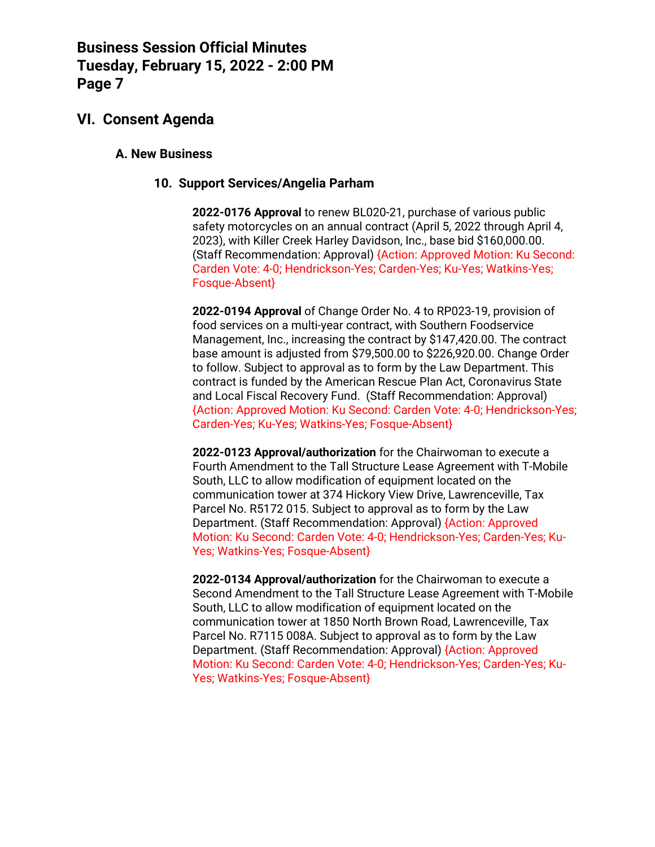### **VI. Consent Agenda**

#### **A. New Business**

#### **10. Support Services/Angelia Parham**

**2022-0176 Approval** to renew BL020-21, purchase of various public safety motorcycles on an annual contract (April 5, 2022 through April 4, 2023), with Killer Creek Harley Davidson, Inc., base bid \$160,000.00. (Staff Recommendation: Approval) {Action: Approved Motion: Ku Second: Carden Vote: 4-0; Hendrickson-Yes; Carden-Yes; Ku-Yes; Watkins-Yes; Fosque-Absent}

**2022-0194 Approval** of Change Order No. 4 to RP023-19, provision of food services on a multi-year contract, with Southern Foodservice Management, Inc., increasing the contract by \$147,420.00. The contract base amount is adjusted from \$79,500.00 to \$226,920.00. Change Order to follow. Subject to approval as to form by the Law Department. This contract is funded by the American Rescue Plan Act, Coronavirus State and Local Fiscal Recovery Fund. (Staff Recommendation: Approval) {Action: Approved Motion: Ku Second: Carden Vote: 4-0; Hendrickson-Yes; Carden-Yes; Ku-Yes; Watkins-Yes; Fosque-Absent}

**2022-0123 Approval/authorization** for the Chairwoman to execute a Fourth Amendment to the Tall Structure Lease Agreement with T-Mobile South, LLC to allow modification of equipment located on the communication tower at 374 Hickory View Drive, Lawrenceville, Tax Parcel No. R5172 015. Subject to approval as to form by the Law Department. (Staff Recommendation: Approval) {Action: Approved Motion: Ku Second: Carden Vote: 4-0; Hendrickson-Yes; Carden-Yes; Ku-Yes; Watkins-Yes; Fosque-Absent}

**2022-0134 Approval/authorization** for the Chairwoman to execute a Second Amendment to the Tall Structure Lease Agreement with T-Mobile South, LLC to allow modification of equipment located on the communication tower at 1850 North Brown Road, Lawrenceville, Tax Parcel No. R7115 008A. Subject to approval as to form by the Law Department. (Staff Recommendation: Approval) {Action: Approved Motion: Ku Second: Carden Vote: 4-0; Hendrickson-Yes; Carden-Yes; Ku-Yes; Watkins-Yes; Fosque-Absent}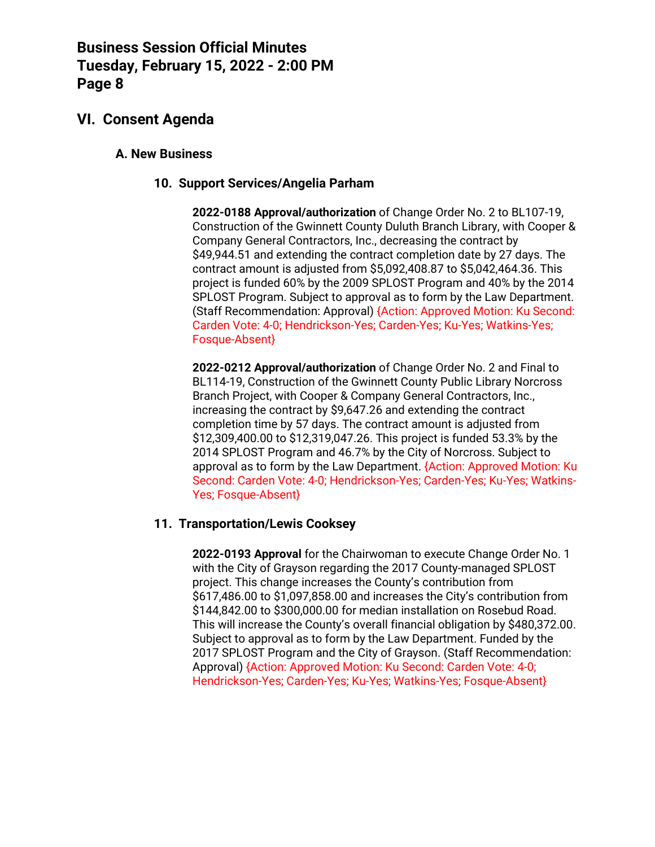## **VI. Consent Agenda**

#### **A. New Business**

#### **10. Support Services/Angelia Parham**

**2022-0188 Approval/authorization** of Change Order No. 2 to BL107-19, Construction of the Gwinnett County Duluth Branch Library, with Cooper & Company General Contractors, Inc., decreasing the contract by \$49,944.51 and extending the contract completion date by 27 days. The contract amount is adjusted from \$5,092,408.87 to \$5,042,464.36. This project is funded 60% by the 2009 SPLOST Program and 40% by the 2014 SPLOST Program. Subject to approval as to form by the Law Department. (Staff Recommendation: Approval) {Action: Approved Motion: Ku Second: Carden Vote: 4-0; Hendrickson-Yes; Carden-Yes; Ku-Yes; Watkins-Yes; Fosque-Absent}

**2022-0212 Approval/authorization** of Change Order No. 2 and Final to BL114-19, Construction of the Gwinnett County Public Library Norcross Branch Project, with Cooper & Company General Contractors, Inc., increasing the contract by \$9,647.26 and extending the contract completion time by 57 days. The contract amount is adjusted from \$12,309,400.00 to \$12,319,047.26. This project is funded 53.3% by the 2014 SPLOST Program and 46.7% by the City of Norcross. Subject to approval as to form by the Law Department. {Action: Approved Motion: Ku Second: Carden Vote: 4-0; Hendrickson-Yes; Carden-Yes; Ku-Yes; Watkins-Yes; Fosque-Absent}

#### **11. Transportation/Lewis Cooksey**

**2022-0193 Approval** for the Chairwoman to execute Change Order No. 1 with the City of Grayson regarding the 2017 County-managed SPLOST project. This change increases the County's contribution from \$617,486.00 to \$1,097,858.00 and increases the City's contribution from \$144,842.00 to \$300,000.00 for median installation on Rosebud Road. This will increase the County's overall financial obligation by \$480,372.00. Subject to approval as to form by the Law Department. Funded by the 2017 SPLOST Program and the City of Grayson. (Staff Recommendation: Approval) {Action: Approved Motion: Ku Second: Carden Vote: 4-0; Hendrickson-Yes; Carden-Yes; Ku-Yes; Watkins-Yes; Fosque-Absent}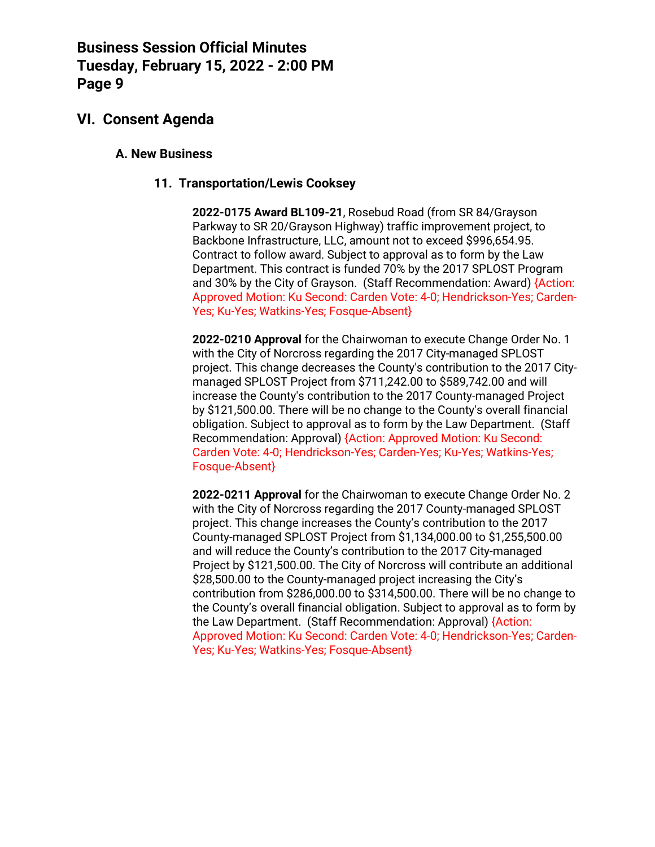### **VI. Consent Agenda**

#### **A. New Business**

#### **11. Transportation/Lewis Cooksey**

**2022-0175 Award BL109-21**, Rosebud Road (from SR 84/Grayson Parkway to SR 20/Grayson Highway) traffic improvement project, to Backbone Infrastructure, LLC, amount not to exceed \$996,654.95. Contract to follow award. Subject to approval as to form by the Law Department. This contract is funded 70% by the 2017 SPLOST Program and 30% by the City of Grayson. (Staff Recommendation: Award) {Action: Approved Motion: Ku Second: Carden Vote: 4-0; Hendrickson-Yes; Carden-Yes; Ku-Yes; Watkins-Yes; Fosque-Absent}

**2022-0210 Approval** for the Chairwoman to execute Change Order No. 1 with the City of Norcross regarding the 2017 City-managed SPLOST project. This change decreases the County's contribution to the 2017 Citymanaged SPLOST Project from \$711,242.00 to \$589,742.00 and will increase the County's contribution to the 2017 County-managed Project by \$121,500.00. There will be no change to the County's overall financial obligation. Subject to approval as to form by the Law Department. (Staff Recommendation: Approval) {Action: Approved Motion: Ku Second: Carden Vote: 4-0; Hendrickson-Yes; Carden-Yes; Ku-Yes; Watkins-Yes; Fosque-Absent}

**2022-0211 Approval** for the Chairwoman to execute Change Order No. 2 with the City of Norcross regarding the 2017 County-managed SPLOST project. This change increases the County's contribution to the 2017 County-managed SPLOST Project from \$1,134,000.00 to \$1,255,500.00 and will reduce the County's contribution to the 2017 City-managed Project by \$121,500.00. The City of Norcross will contribute an additional \$28,500.00 to the County-managed project increasing the City's contribution from \$286,000.00 to \$314,500.00. There will be no change to the County's overall financial obligation. Subject to approval as to form by the Law Department. (Staff Recommendation: Approval) {Action: Approved Motion: Ku Second: Carden Vote: 4-0; Hendrickson-Yes; Carden-Yes; Ku-Yes; Watkins-Yes; Fosque-Absent}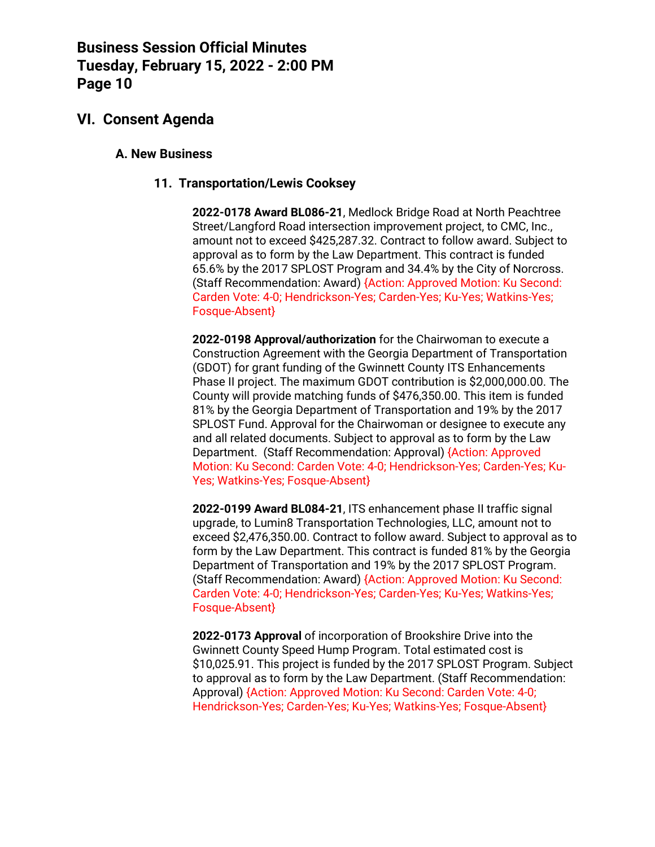### **VI. Consent Agenda**

#### **A. New Business**

#### **11. Transportation/Lewis Cooksey**

**2022-0178 Award BL086-21**, Medlock Bridge Road at North Peachtree Street/Langford Road intersection improvement project, to CMC, Inc., amount not to exceed \$425,287.32. Contract to follow award. Subject to approval as to form by the Law Department. This contract is funded 65.6% by the 2017 SPLOST Program and 34.4% by the City of Norcross. (Staff Recommendation: Award) {Action: Approved Motion: Ku Second: Carden Vote: 4-0; Hendrickson-Yes; Carden-Yes; Ku-Yes; Watkins-Yes; Fosque-Absent}

**2022-0198 Approval/authorization** for the Chairwoman to execute a Construction Agreement with the Georgia Department of Transportation (GDOT) for grant funding of the Gwinnett County ITS Enhancements Phase II project. The maximum GDOT contribution is \$2,000,000.00. The County will provide matching funds of \$476,350.00. This item is funded 81% by the Georgia Department of Transportation and 19% by the 2017 SPLOST Fund. Approval for the Chairwoman or designee to execute any and all related documents. Subject to approval as to form by the Law Department. (Staff Recommendation: Approval) {Action: Approved Motion: Ku Second: Carden Vote: 4-0; Hendrickson-Yes; Carden-Yes; Ku-Yes; Watkins-Yes; Fosque-Absent}

**2022-0199 Award BL084-21**, ITS enhancement phase II traffic signal upgrade, to Lumin8 Transportation Technologies, LLC, amount not to exceed \$2,476,350.00. Contract to follow award. Subject to approval as to form by the Law Department. This contract is funded 81% by the Georgia Department of Transportation and 19% by the 2017 SPLOST Program. (Staff Recommendation: Award) {Action: Approved Motion: Ku Second: Carden Vote: 4-0; Hendrickson-Yes; Carden-Yes; Ku-Yes; Watkins-Yes; Fosque-Absent}

**2022-0173 Approval** of incorporation of Brookshire Drive into the Gwinnett County Speed Hump Program. Total estimated cost is \$10,025.91. This project is funded by the 2017 SPLOST Program. Subject to approval as to form by the Law Department. (Staff Recommendation: Approval) {Action: Approved Motion: Ku Second: Carden Vote: 4-0; Hendrickson-Yes; Carden-Yes; Ku-Yes; Watkins-Yes; Fosque-Absent}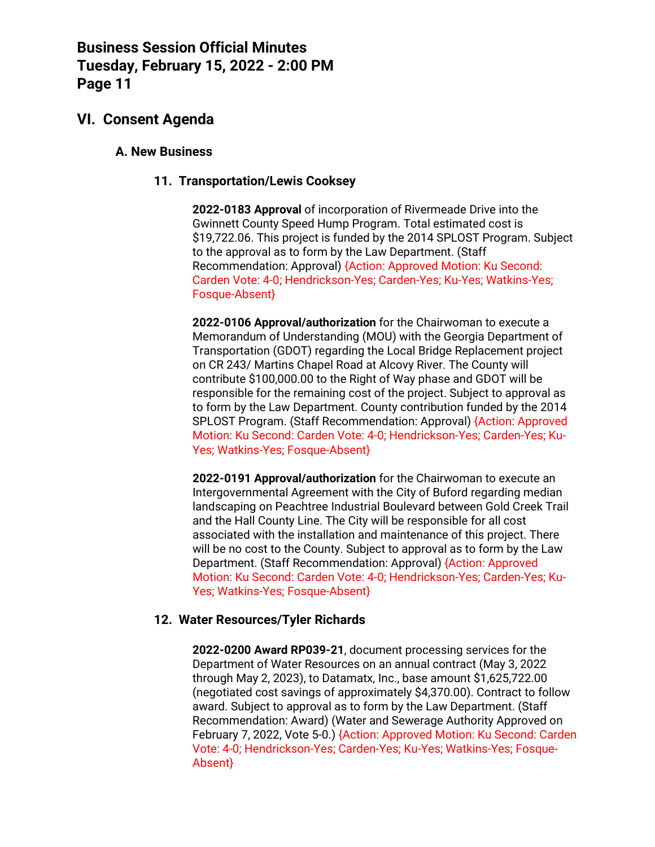### **VI. Consent Agenda**

#### **A. New Business**

#### **11. Transportation/Lewis Cooksey**

**2022-0183 Approval** of incorporation of Rivermeade Drive into the Gwinnett County Speed Hump Program. Total estimated cost is \$19,722.06. This project is funded by the 2014 SPLOST Program. Subject to the approval as to form by the Law Department. (Staff Recommendation: Approval) {Action: Approved Motion: Ku Second: Carden Vote: 4-0; Hendrickson-Yes; Carden-Yes; Ku-Yes; Watkins-Yes; Fosque-Absent}

**2022-0106 Approval/authorization** for the Chairwoman to execute a Memorandum of Understanding (MOU) with the Georgia Department of Transportation (GDOT) regarding the Local Bridge Replacement project on CR 243/ Martins Chapel Road at Alcovy River. The County will contribute \$100,000.00 to the Right of Way phase and GDOT will be responsible for the remaining cost of the project. Subject to approval as to form by the Law Department. County contribution funded by the 2014 SPLOST Program. (Staff Recommendation: Approval) {Action: Approved Motion: Ku Second: Carden Vote: 4-0; Hendrickson-Yes; Carden-Yes; Ku-Yes; Watkins-Yes; Fosque-Absent}

**2022-0191 Approval/authorization** for the Chairwoman to execute an Intergovernmental Agreement with the City of Buford regarding median landscaping on Peachtree Industrial Boulevard between Gold Creek Trail and the Hall County Line. The City will be responsible for all cost associated with the installation and maintenance of this project. There will be no cost to the County. Subject to approval as to form by the Law Department. (Staff Recommendation: Approval) {Action: Approved Motion: Ku Second: Carden Vote: 4-0; Hendrickson-Yes; Carden-Yes; Ku-Yes; Watkins-Yes; Fosque-Absent}

#### **12. Water Resources/Tyler Richards**

**2022-0200 Award RP039-21**, document processing services for the Department of Water Resources on an annual contract (May 3, 2022 through May 2, 2023), to Datamatx, Inc., base amount \$1,625,722.00 (negotiated cost savings of approximately \$4,370.00). Contract to follow award. Subject to approval as to form by the Law Department. (Staff Recommendation: Award) (Water and Sewerage Authority Approved on February 7, 2022, Vote 5-0.) {Action: Approved Motion: Ku Second: Carden Vote: 4-0; Hendrickson-Yes; Carden-Yes; Ku-Yes; Watkins-Yes; Fosque-Absent}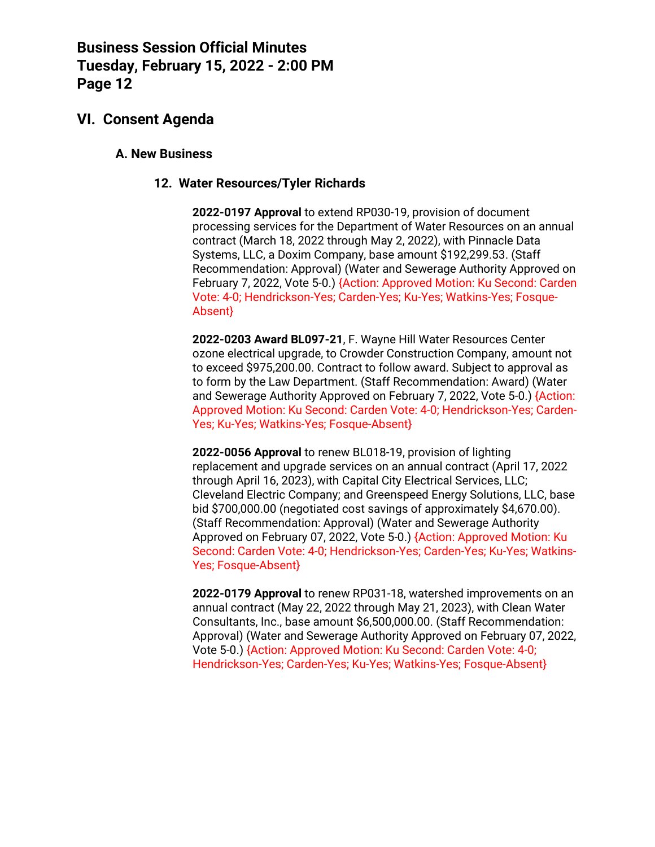### **VI. Consent Agenda**

#### **A. New Business**

#### **12. Water Resources/Tyler Richards**

**2022-0197 Approval** to extend RP030-19, provision of document processing services for the Department of Water Resources on an annual contract (March 18, 2022 through May 2, 2022), with Pinnacle Data Systems, LLC, a Doxim Company, base amount \$192,299.53. (Staff Recommendation: Approval) (Water and Sewerage Authority Approved on February 7, 2022, Vote 5-0.) {Action: Approved Motion: Ku Second: Carden Vote: 4-0; Hendrickson-Yes; Carden-Yes; Ku-Yes; Watkins-Yes; Fosque-Absent}

**2022-0203 Award BL097-21**, F. Wayne Hill Water Resources Center ozone electrical upgrade, to Crowder Construction Company, amount not to exceed \$975,200.00. Contract to follow award. Subject to approval as to form by the Law Department. (Staff Recommendation: Award) (Water and Sewerage Authority Approved on February 7, 2022, Vote 5-0.) {Action: Approved Motion: Ku Second: Carden Vote: 4-0; Hendrickson-Yes; Carden-Yes; Ku-Yes; Watkins-Yes; Fosque-Absent}

**2022-0056 Approval** to renew BL018-19, provision of lighting replacement and upgrade services on an annual contract (April 17, 2022 through April 16, 2023), with Capital City Electrical Services, LLC; Cleveland Electric Company; and Greenspeed Energy Solutions, LLC, base bid \$700,000.00 (negotiated cost savings of approximately \$4,670.00). (Staff Recommendation: Approval) (Water and Sewerage Authority Approved on February 07, 2022, Vote 5-0.) {Action: Approved Motion: Ku Second: Carden Vote: 4-0; Hendrickson-Yes; Carden-Yes; Ku-Yes; Watkins-Yes; Fosque-Absent}

**2022-0179 Approval** to renew RP031-18, watershed improvements on an annual contract (May 22, 2022 through May 21, 2023), with Clean Water Consultants, Inc., base amount \$6,500,000.00. (Staff Recommendation: Approval) (Water and Sewerage Authority Approved on February 07, 2022, Vote 5-0.) {Action: Approved Motion: Ku Second: Carden Vote: 4-0; Hendrickson-Yes; Carden-Yes; Ku-Yes; Watkins-Yes; Fosque-Absent}